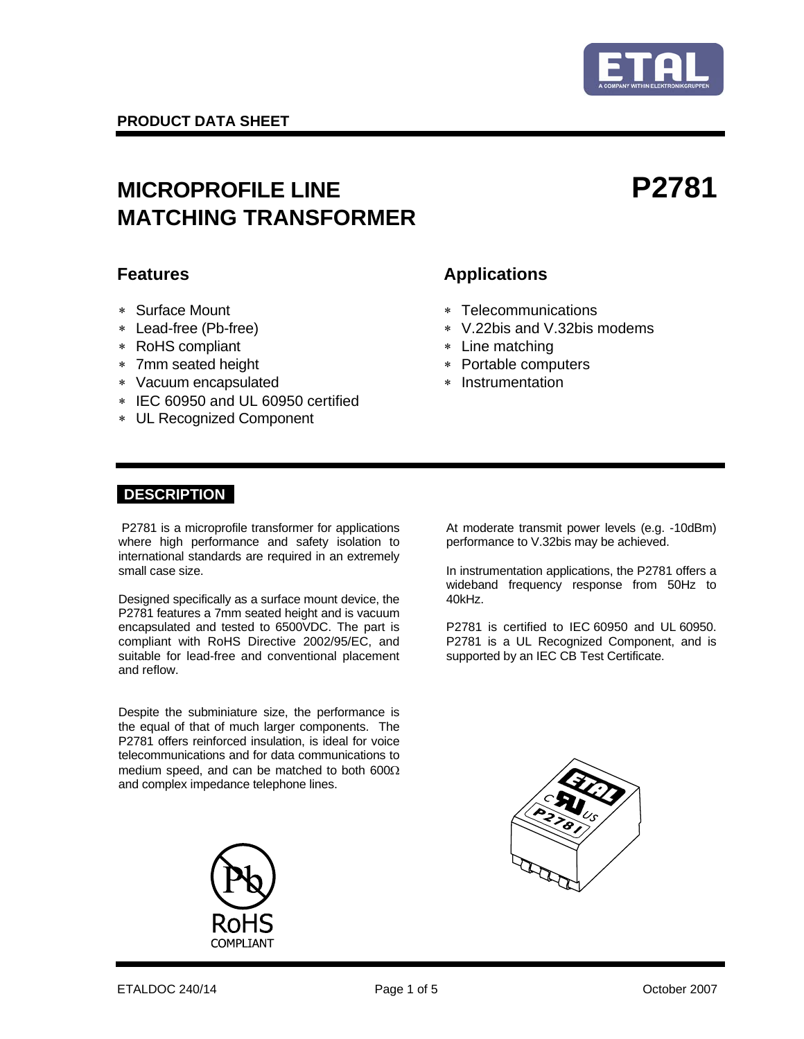

# MICROPROFILE LINE **P2781 MATCHING TRANSFORMER**

- 
- 
- ∗ RoHS compliant ∗ Line matching
- ∗ 7mm seated height ∗ Portable computers
- ∗ Vacuum encapsulated ∗ Instrumentation
- ∗ IEC 60950 and UL 60950 certified
- ∗ UL Recognized Component

## **Features** Applications

- ∗ Surface Mount ∗ Telecommunications
- ∗ Lead-free (Pb-free) ∗ V.22bis and V.32bis modems
	-
	-
	-

### **DESCRIPTION**

 P2781 is a microprofile transformer for applications where high performance and safety isolation to international standards are required in an extremely small case size.

Designed specifically as a surface mount device, the P2781 features a 7mm seated height and is vacuum encapsulated and tested to 6500VDC. The part is compliant with RoHS Directive 2002/95/EC, and suitable for lead-free and conventional placement and reflow.

Despite the subminiature size, the performance is the equal of that of much larger components. The P2781 offers reinforced insulation, is ideal for voice telecommunications and for data communications to medium speed, and can be matched to both 600Ω and complex impedance telephone lines.



 At moderate transmit power levels (e.g. -10dBm) performance to V.32bis may be achieved.

In instrumentation applications, the P2781 offers a wideband frequency response from 50Hz to 40kHz.

P2781 is certified to IEC 60950 and UL 60950. P2781 is a UL Recognized Component, and is supported by an IEC CB Test Certificate.

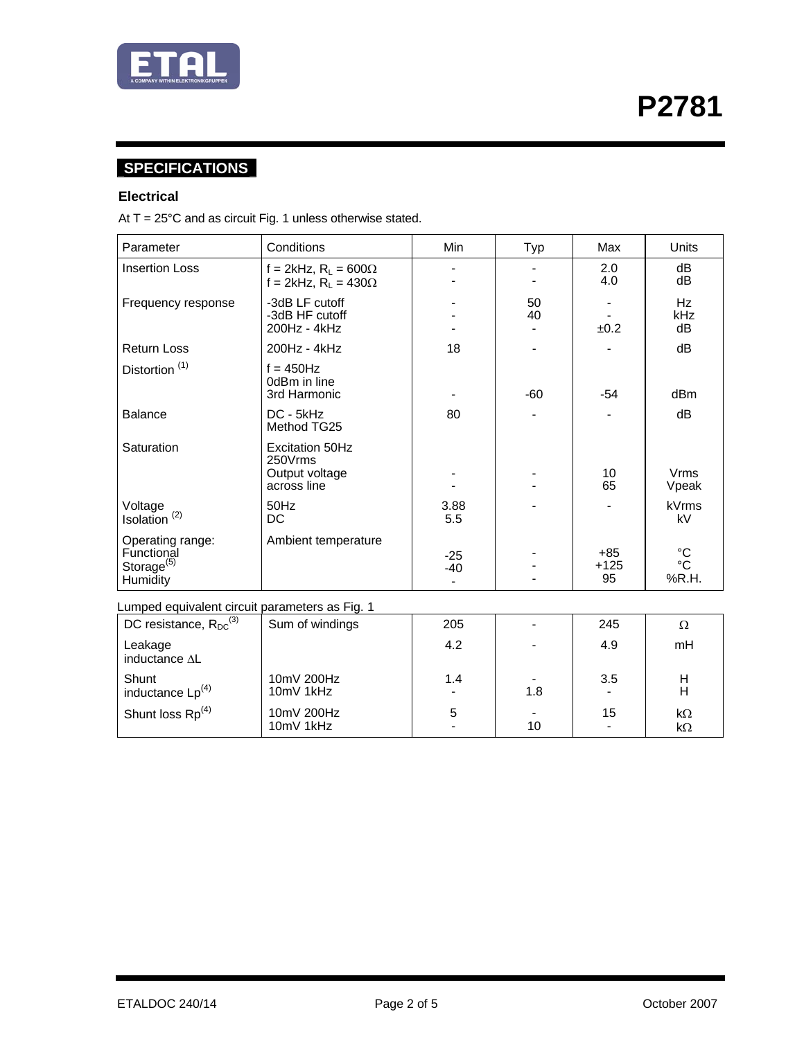

# **SPECIFICATIONS**

#### **Electrical**

At  $T = 25^{\circ}$ C and as circuit Fig. 1 unless otherwise stated.

10mV 1kHz

10mV 200Hz<br>10mV 1kHz

| Parameter                                                            | Conditions                                                         | Min            | Typ      | Max                   | <b>Units</b>                                    |  |
|----------------------------------------------------------------------|--------------------------------------------------------------------|----------------|----------|-----------------------|-------------------------------------------------|--|
| <b>Insertion Loss</b>                                                | f = 2kHz, $R_L$ = 600 $\Omega$<br>f = 2kHz, $R_1$ = 430 $\Omega$   |                |          | 2.0<br>4.0            | dB<br>dB                                        |  |
| Frequency response                                                   | -3dB LF cutoff<br>-3dB HF cutoff<br>200Hz - 4kHz                   |                | 50<br>40 | ±0.2                  | Hz<br>kHz<br>dB                                 |  |
| <b>Return Loss</b>                                                   | 200Hz - 4kHz                                                       | 18             |          |                       | dB                                              |  |
| Distortion <sup>(1)</sup>                                            | $f = 450$ Hz<br>0dBm in line<br>3rd Harmonic                       |                | $-60$    | -54                   | dBm                                             |  |
| <b>Balance</b>                                                       | DC - 5kHz<br>Method TG25                                           | 80             |          |                       | dB                                              |  |
| Saturation                                                           | <b>Excitation 50Hz</b><br>250Vrms<br>Output voltage<br>across line |                |          | 10<br>65              | <b>Vrms</b><br>Vpeak                            |  |
| Voltage<br>Isolation <sup>(2)</sup>                                  | 50Hz<br>DC                                                         | 3.88<br>5.5    |          |                       | <b>kVrms</b><br>kV                              |  |
| Operating range:<br>Functional<br>Storage <sup>(5)</sup><br>Humidity | Ambient temperature                                                | $-25$<br>$-40$ |          | $+85$<br>$+125$<br>95 | $^{\circ}{\rm C}$<br>$^{\circ}{\rm C}$<br>%R.H. |  |
| Lumped equivalent circuit parameters as Fig. 1                       |                                                                    |                |          |                       |                                                 |  |
| DC resistance, $R_{DC}^{(3)}$                                        | Sum of windings                                                    | 205            |          | 245                   | Ω                                               |  |
| Leakage<br>inductance AL                                             |                                                                    | 4.2            |          | 4.9                   | mH                                              |  |
| Shunt                                                                | 10mV 200Hz                                                         | 1.4            |          | 3.5                   | H                                               |  |

-

5 -

1.8

- 10 -

15

- k<sup>Ω</sup> kΩ

 $inductance Lp<sup>(4)</sup>$ 

Shunt loss  $Rp^{(4)}$ 

H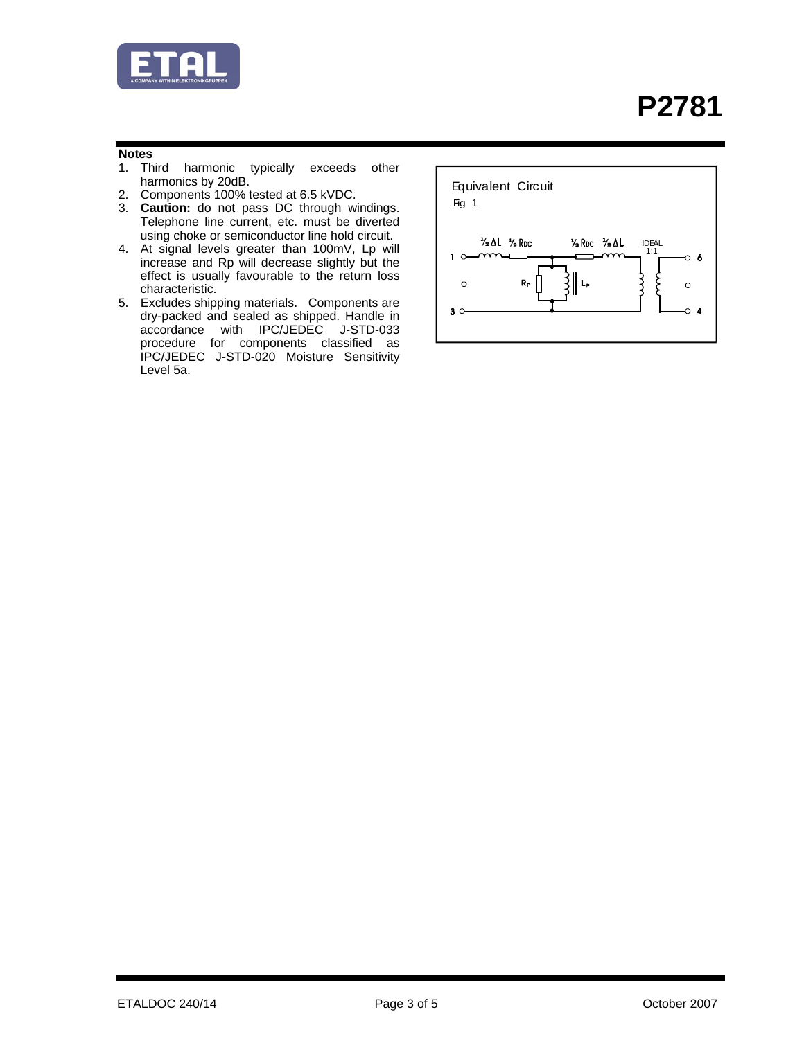

#### **Notes**

- 1. Third harmonic typically exceeds other harmonics by 20dB.
- 2. Components 100% tested at 6.5 kVDC.
- 3. **Caution:** do not pass DC through windings. Telephone line current, etc. must be diverted using choke or semiconductor line hold circuit.
- 4. At signal levels greater than 100mV, Lp will increase and Rp will decrease slightly but the effect is usually favourable to the return loss characteristic.
- 5. Excludes shipping materials. Components are dry-packed and sealed as shipped. Handle in accordance with IPC/JEDEC J-STD-033 procedure for components classified as IPC/JEDEC J-STD-020 Moisture Sensitivity Level 5a.

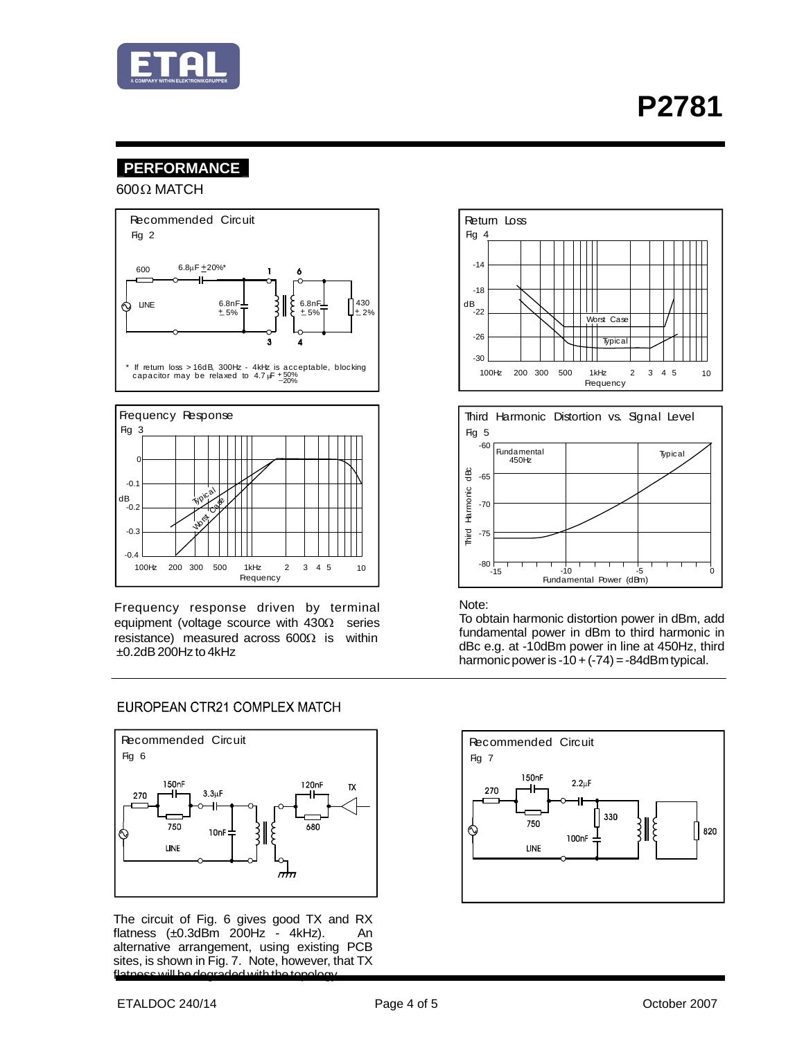

### **PERFORMANCE**

 $600 Ω$  MATCH





Frequency response driven by terminal equipment (voltage scource with  $430\Omega$  series resistance) measured across  $600\Omega$  is within  $\pm$ 0.2dB 200Hz to 4kHz

#### EUROPEAN CTR21 COMPLEX MATCH



The circuit of Fig. 6 gives good TX and RX flatness  $(\pm 0.3d\overline{\text{Bm}}$   $2\overline{0}0\text{Hz}$   $\overline{\text{Bm}}$   $4k\text{Hz}$ ). An alternative arrangement, using existing PCB sites, is shown in Fig. 7. Note, however, that TX flatness will be degraded with the topology.





#### Note:

To obtain harmonic distortion power in dBm, add fundamental power in dBm to third harmonic in dBc e.g. at -10dBm power in line at 450Hz, third harmonic power is  $-10 + (-74) = -84$ dBm typical.

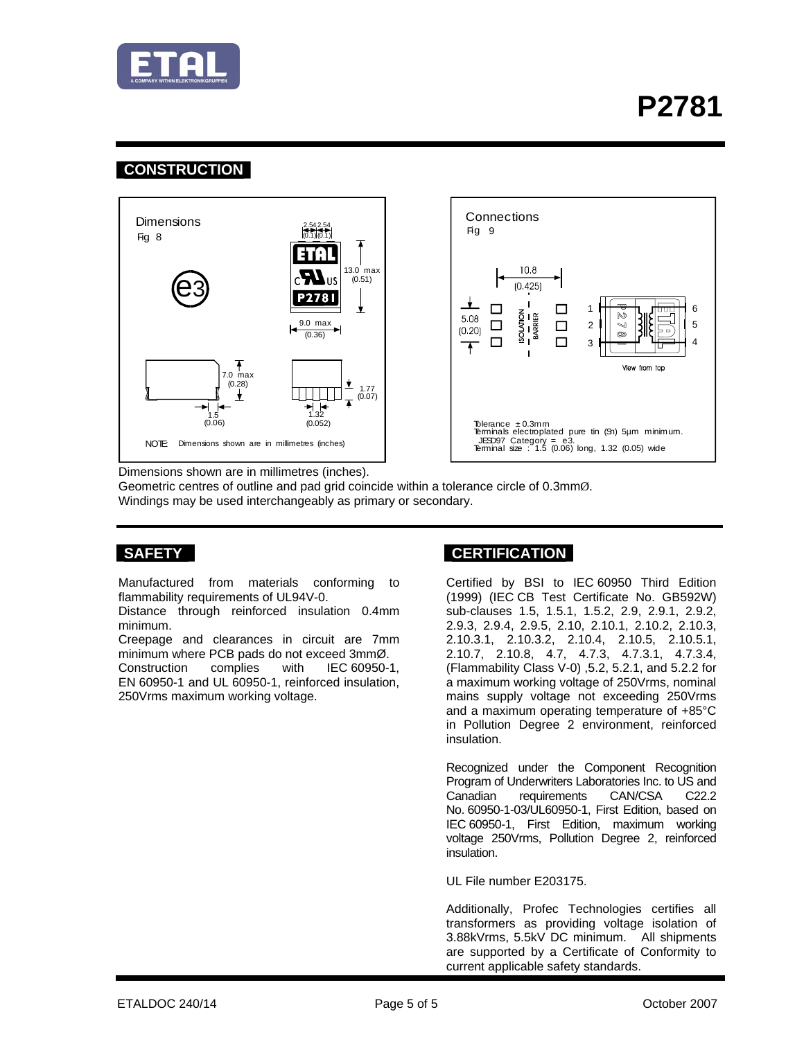

### **CONSTRUCTION**





Dimensions shown are in millimetres (inches).

Geometric centres of outline and pad grid coincide within a tolerance circle of 0.3mmØ. Windings may be used interchangeably as primary or secondary.

Manufactured from materials conforming to flammability requirements of UL94V-0.

Distance through reinforced insulation 0.4mm minimum.

Creepage and clearances in circuit are 7mm minimum where PCB pads do not exceed 3mmØ. Construction complies with IEC 60950-1,

EN 60950-1 and UL 60950-1, reinforced insulation, 250Vrms maximum working voltage.

### SAFETY **CERTIFICATION**

 Certified by BSI to IEC 60950 Third Edition (1999) (IEC CB Test Certificate No. GB592W) sub-clauses 1.5, 1.5.1, 1.5.2, 2.9, 2.9.1, 2.9.2, 2.9.3, 2.9.4, 2.9.5, 2.10, 2.10.1, 2.10.2, 2.10.3, 2.10.3.1, 2.10.3.2, 2.10.4, 2.10.5, 2.10.5.1, 2.10.7, 2.10.8, 4.7, 4.7.3, 4.7.3.1, 4.7.3.4, (Flammability Class V-0) ,5.2, 5.2.1, and 5.2.2 for a maximum working voltage of 250Vrms, nominal mains supply voltage not exceeding 250Vrms and a maximum operating temperature of +85°C in Pollution Degree 2 environment, reinforced insulation.

Recognized under the Component Recognition Program of Underwriters Laboratories Inc. to US and Canadian requirements CAN/CSA C22.2 No. 60950-1-03/UL60950-1, First Edition, based on IEC 60950-1, First Edition, maximum working voltage 250Vrms, Pollution Degree 2, reinforced insulation.

UL File number E203175.

Additionally, Profec Technologies certifies all transformers as providing voltage isolation of 3.88kVrms, 5.5kV DC minimum. All shipments are supported by a Certificate of Conformity to current applicable safety standards.